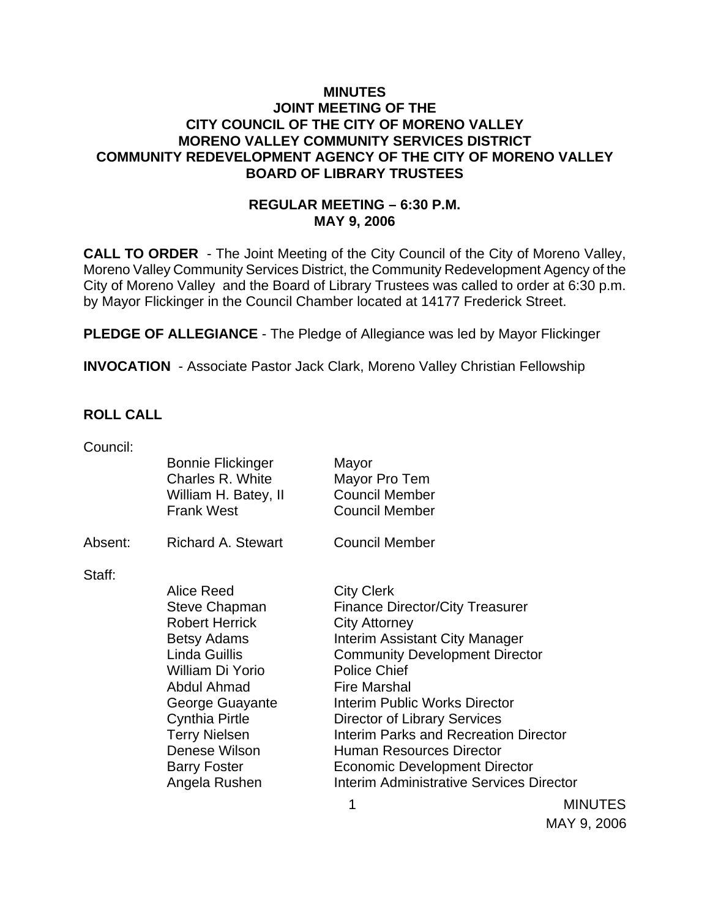### **MINUTES JOINT MEETING OF THE CITY COUNCIL OF THE CITY OF MORENO VALLEY MORENO VALLEY COMMUNITY SERVICES DISTRICT COMMUNITY REDEVELOPMENT AGENCY OF THE CITY OF MORENO VALLEY BOARD OF LIBRARY TRUSTEES**

# **REGULAR MEETING – 6:30 P.M. MAY 9, 2006**

**CALL TO ORDER** - The Joint Meeting of the City Council of the City of Moreno Valley, Moreno Valley Community Services District, the Community Redevelopment Agency of the City of Moreno Valley and the Board of Library Trustees was called to order at 6:30 p.m. by Mayor Flickinger in the Council Chamber located at 14177 Frederick Street.

**PLEDGE OF ALLEGIANCE** - The Pledge of Allegiance was led by Mayor Flickinger

**INVOCATION** - Associate Pastor Jack Clark, Moreno Valley Christian Fellowship

#### **ROLL CALL**

| Council: |                                              |                                                 |                |
|----------|----------------------------------------------|-------------------------------------------------|----------------|
|          | <b>Bonnie Flickinger</b><br>Charles R. White | Mayor<br>Mayor Pro Tem                          |                |
|          | William H. Batey, II                         | <b>Council Member</b>                           |                |
|          | <b>Frank West</b>                            | <b>Council Member</b>                           |                |
| Absent:  | <b>Richard A. Stewart</b>                    | <b>Council Member</b>                           |                |
| Staff:   |                                              |                                                 |                |
|          | Alice Reed                                   | <b>City Clerk</b>                               |                |
|          | <b>Steve Chapman</b>                         | <b>Finance Director/City Treasurer</b>          |                |
|          | <b>Robert Herrick</b>                        | <b>City Attorney</b>                            |                |
|          | <b>Betsy Adams</b>                           | Interim Assistant City Manager                  |                |
|          | Linda Guillis                                | <b>Community Development Director</b>           |                |
|          | William Di Yorio                             | <b>Police Chief</b>                             |                |
|          | Abdul Ahmad                                  | <b>Fire Marshal</b>                             |                |
|          | George Guayante                              | Interim Public Works Director                   |                |
|          | <b>Cynthia Pirtle</b>                        | Director of Library Services                    |                |
|          | <b>Terry Nielsen</b>                         | <b>Interim Parks and Recreation Director</b>    |                |
|          | Denese Wilson                                | <b>Human Resources Director</b>                 |                |
|          | <b>Barry Foster</b>                          | <b>Economic Development Director</b>            |                |
|          | Angela Rushen                                | <b>Interim Administrative Services Director</b> |                |
|          |                                              | 1                                               | <b>MINUTES</b> |

MAY 9, 2006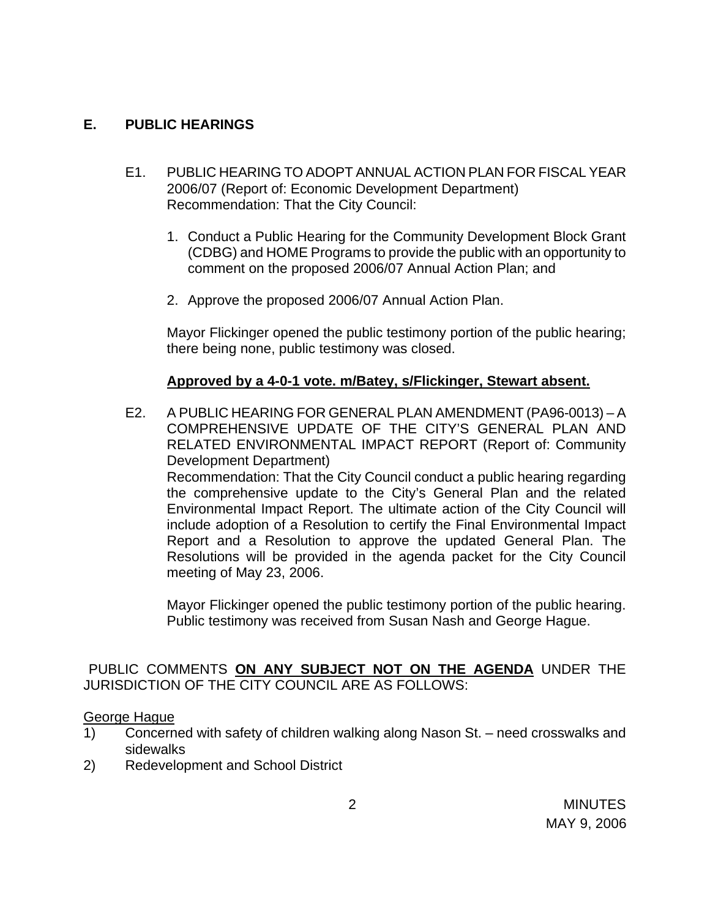### **E. PUBLIC HEARINGS**

- E1. PUBLIC HEARING TO ADOPT ANNUAL ACTION PLAN FOR FISCAL YEAR 2006/07 (Report of: Economic Development Department) Recommendation: That the City Council:
	- 1. Conduct a Public Hearing for the Community Development Block Grant (CDBG) and HOME Programs to provide the public with an opportunity to comment on the proposed 2006/07 Annual Action Plan; and
	- 2. Approve the proposed 2006/07 Annual Action Plan.

 Mayor Flickinger opened the public testimony portion of the public hearing; there being none, public testimony was closed.

### **Approved by a 4-0-1 vote. m/Batey, s/Flickinger, Stewart absent.**

E2. A PUBLIC HEARING FOR GENERAL PLAN AMENDMENT (PA96-0013) – A COMPREHENSIVE UPDATE OF THE CITY'S GENERAL PLAN AND RELATED ENVIRONMENTAL IMPACT REPORT (Report of: Community Development Department) Recommendation: That the City Council conduct a public hearing regarding the comprehensive update to the City's General Plan and the related Environmental Impact Report. The ultimate action of the City Council will include adoption of a Resolution to certify the Final Environmental Impact Report and a Resolution to approve the updated General Plan. The Resolutions will be provided in the agenda packet for the City Council meeting of May 23, 2006.

 Mayor Flickinger opened the public testimony portion of the public hearing. Public testimony was received from Susan Nash and George Hague.

PUBLIC COMMENTS **ON ANY SUBJECT NOT ON THE AGENDA** UNDER THE JURISDICTION OF THE CITY COUNCIL ARE AS FOLLOWS:

#### George Hague

- 1) Concerned with safety of children walking along Nason St. need crosswalks and sidewalks
- 2) Redevelopment and School District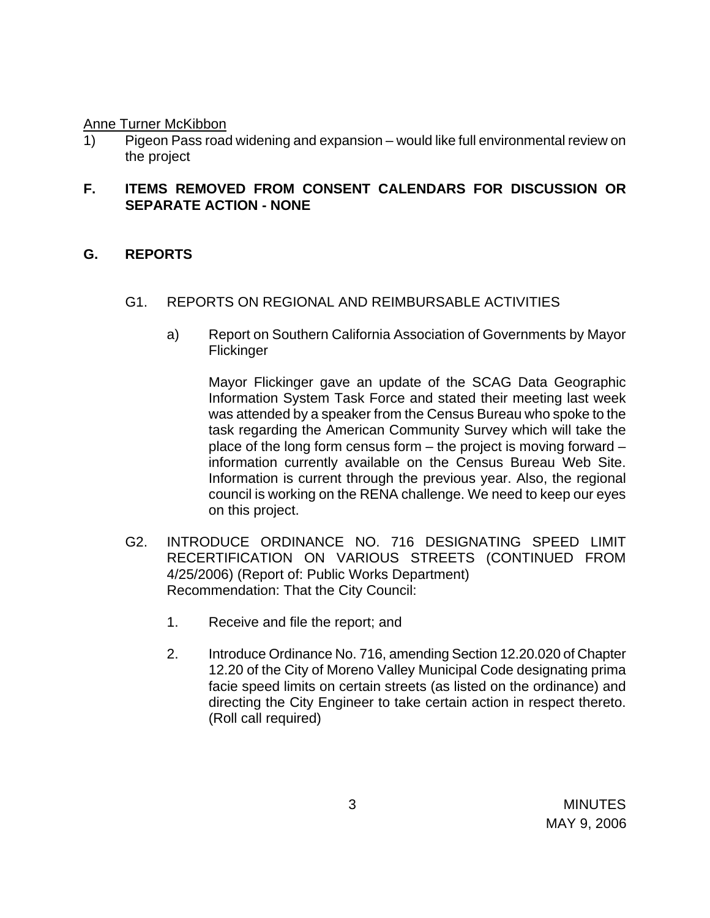Anne Turner McKibbon

1) Pigeon Pass road widening and expansion – would like full environmental review on the project

# **F. ITEMS REMOVED FROM CONSENT CALENDARS FOR DISCUSSION OR SEPARATE ACTION - NONE**

### **G. REPORTS**

- G1. REPORTS ON REGIONAL AND REIMBURSABLE ACTIVITIES
	- a) Report on Southern California Association of Governments by Mayor Flickinger

 Mayor Flickinger gave an update of the SCAG Data Geographic Information System Task Force and stated their meeting last week was attended by a speaker from the Census Bureau who spoke to the task regarding the American Community Survey which will take the place of the long form census form – the project is moving forward – information currently available on the Census Bureau Web Site. Information is current through the previous year. Also, the regional council is working on the RENA challenge. We need to keep our eyes on this project.

- G2. INTRODUCE ORDINANCE NO. 716 DESIGNATING SPEED LIMIT RECERTIFICATION ON VARIOUS STREETS (CONTINUED FROM 4/25/2006) (Report of: Public Works Department) Recommendation: That the City Council:
	- 1. Receive and file the report; and
	- 2. Introduce Ordinance No. 716, amending Section 12.20.020 of Chapter 12.20 of the City of Moreno Valley Municipal Code designating prima facie speed limits on certain streets (as listed on the ordinance) and directing the City Engineer to take certain action in respect thereto. (Roll call required)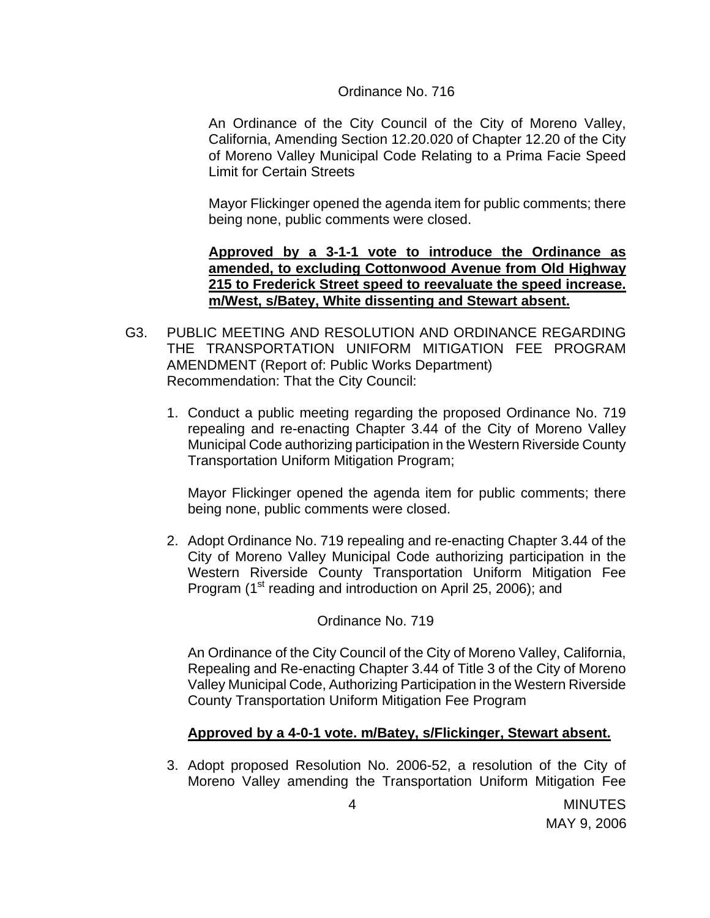#### Ordinance No. 716

 An Ordinance of the City Council of the City of Moreno Valley, California, Amending Section 12.20.020 of Chapter 12.20 of the City of Moreno Valley Municipal Code Relating to a Prima Facie Speed Limit for Certain Streets

 Mayor Flickinger opened the agenda item for public comments; there being none, public comments were closed.

 **Approved by a 3-1-1 vote to introduce the Ordinance as amended, to excluding Cottonwood Avenue from Old Highway 215 to Frederick Street speed to reevaluate the speed increase. m/West, s/Batey, White dissenting and Stewart absent.**

- G3. PUBLIC MEETING AND RESOLUTION AND ORDINANCE REGARDING THE TRANSPORTATION UNIFORM MITIGATION FEE PROGRAM AMENDMENT (Report of: Public Works Department) Recommendation: That the City Council:
	- 1. Conduct a public meeting regarding the proposed Ordinance No. 719 repealing and re-enacting Chapter 3.44 of the City of Moreno Valley Municipal Code authorizing participation in the Western Riverside County Transportation Uniform Mitigation Program;

Mayor Flickinger opened the agenda item for public comments; there being none, public comments were closed.

2. Adopt Ordinance No. 719 repealing and re-enacting Chapter 3.44 of the City of Moreno Valley Municipal Code authorizing participation in the Western Riverside County Transportation Uniform Mitigation Fee Program (1<sup>st</sup> reading and introduction on April 25, 2006); and

Ordinance No. 719

 An Ordinance of the City Council of the City of Moreno Valley, California, Repealing and Re-enacting Chapter 3.44 of Title 3 of the City of Moreno Valley Municipal Code, Authorizing Participation in the Western Riverside County Transportation Uniform Mitigation Fee Program

#### **Approved by a 4-0-1 vote. m/Batey, s/Flickinger, Stewart absent.**

3. Adopt proposed Resolution No. 2006-52, a resolution of the City of Moreno Valley amending the Transportation Uniform Mitigation Fee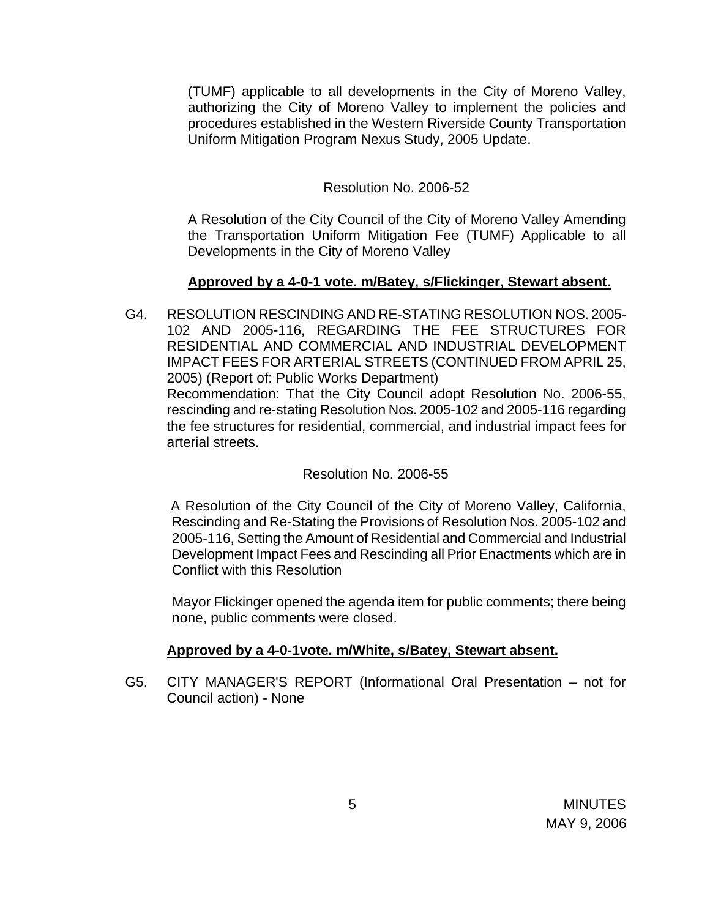(TUMF) applicable to all developments in the City of Moreno Valley, authorizing the City of Moreno Valley to implement the policies and procedures established in the Western Riverside County Transportation Uniform Mitigation Program Nexus Study, 2005 Update.

### Resolution No. 2006-52

 A Resolution of the City Council of the City of Moreno Valley Amending the Transportation Uniform Mitigation Fee (TUMF) Applicable to all Developments in the City of Moreno Valley

# **Approved by a 4-0-1 vote. m/Batey, s/Flickinger, Stewart absent.**

G4. RESOLUTION RESCINDING AND RE-STATING RESOLUTION NOS. 2005- 102 AND 2005-116, REGARDING THE FEE STRUCTURES FOR RESIDENTIAL AND COMMERCIAL AND INDUSTRIAL DEVELOPMENT IMPACT FEES FOR ARTERIAL STREETS (CONTINUED FROM APRIL 25, 2005) (Report of: Public Works Department) Recommendation: That the City Council adopt Resolution No. 2006-55, rescinding and re-stating Resolution Nos. 2005-102 and 2005-116 regarding the fee structures for residential, commercial, and industrial impact fees for arterial streets.

#### Resolution No. 2006-55

 A Resolution of the City Council of the City of Moreno Valley, California, Rescinding and Re-Stating the Provisions of Resolution Nos. 2005-102 and 2005-116, Setting the Amount of Residential and Commercial and Industrial Development Impact Fees and Rescinding all Prior Enactments which are in Conflict with this Resolution

 Mayor Flickinger opened the agenda item for public comments; there being none, public comments were closed.

#### **Approved by a 4-0-1vote. m/White, s/Batey, Stewart absent.**

G5. CITY MANAGER'S REPORT (Informational Oral Presentation – not for Council action) - None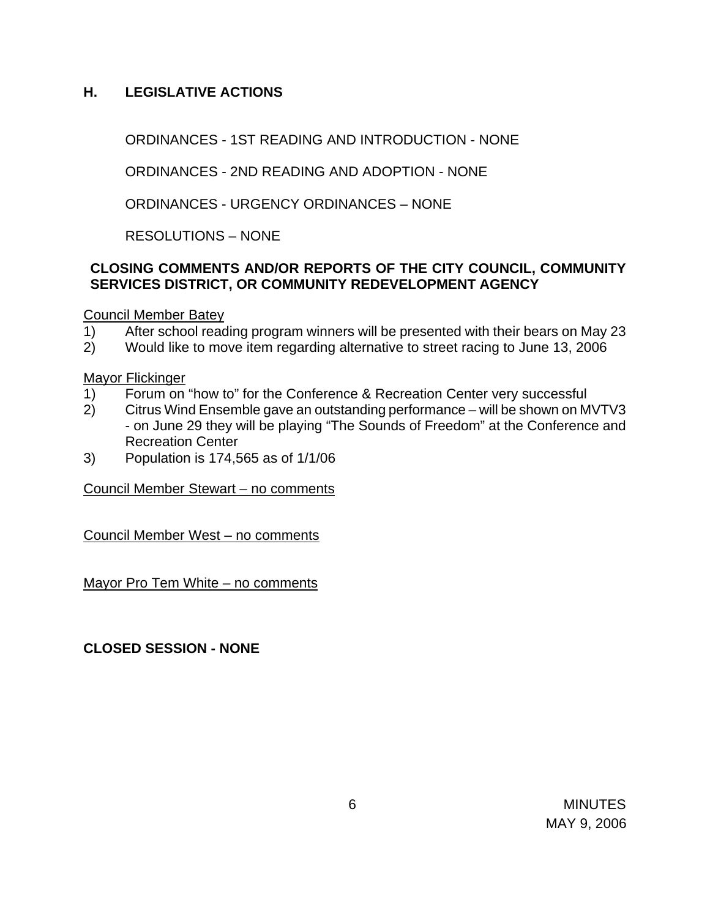# **H. LEGISLATIVE ACTIONS**

ORDINANCES - 1ST READING AND INTRODUCTION - NONE

ORDINANCES - 2ND READING AND ADOPTION - NONE

ORDINANCES - URGENCY ORDINANCES – NONE

RESOLUTIONS – NONE

# **CLOSING COMMENTS AND/OR REPORTS OF THE CITY COUNCIL, COMMUNITY SERVICES DISTRICT, OR COMMUNITY REDEVELOPMENT AGENCY**

Council Member Batey

- 1) After school reading program winners will be presented with their bears on May 23
- 2) Would like to move item regarding alternative to street racing to June 13, 2006

Mayor Flickinger

- 1) Forum on "how to" for the Conference & Recreation Center very successful
- 2) Citrus Wind Ensemble gave an outstanding performance will be shown on MVTV3 - on June 29 they will be playing "The Sounds of Freedom" at the Conference and Recreation Center
- 3) Population is 174,565 as of 1/1/06

Council Member Stewart – no comments

Council Member West – no comments

Mayor Pro Tem White – no comments

**CLOSED SESSION - NONE**